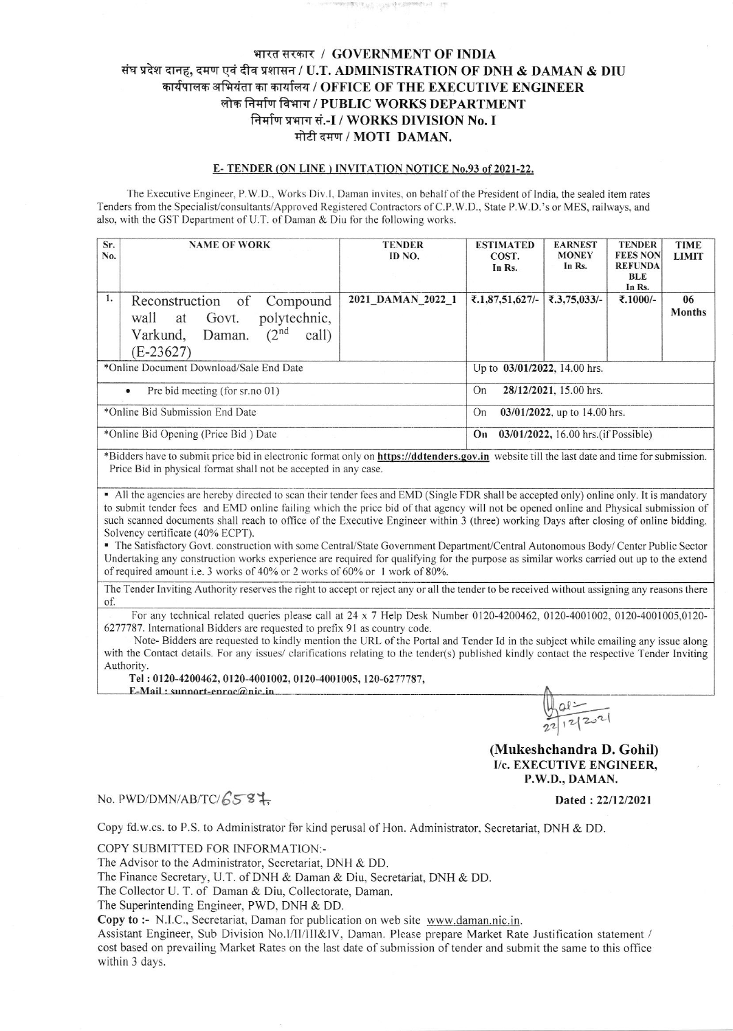## भारत सरकार / GOVERNMENT OF INDIA संघ प्रदेश दानह, दमण एवं दीव प्रशासन / U.T. ADMINISTRATION OF DNH & DAMAN & DIU कार्यपालक अभियंता का कार्यालय / OFFICE OF THE EXECUTIVE ENGINEER लोक निर्माण विभाग / PUBLIC WORKS DEPARTMENT निर्माण प्रभाग सं.-I / WORKS DIVISION No. I मोटी दमण / MOTI DAMAN.

#### E-TENDER (ON LINE) INVITATION NOTICE No.93 of 2021-22.

The Executive Engineer, P.W.D., Works Div.I, Daman invites, on behalf of the President of India, the sealed item rates Tenders from the Specialist/consultants/Approved Registered Contractors of C.P.W.D., State P.W.D.'s or MES, railways, and also, with the GST Department of U.T. of Daman & Diu for the following works.

| Sr.<br>No.                                  | <b>NAME OF WORK</b>                                                                                                                 | <b>TENDER</b><br>ID NO. | <b>ESTIMATED</b><br>COST.<br>In Rs.        | <b>EARNEST</b><br><b>MONEY</b><br>In Rs. | <b>TENDER</b><br><b>FEES NON</b><br><b>REFUNDA</b><br><b>BLE</b><br>In Rs. | <b>TIME</b><br><b>LIMIT</b> |  |
|---------------------------------------------|-------------------------------------------------------------------------------------------------------------------------------------|-------------------------|--------------------------------------------|------------------------------------------|----------------------------------------------------------------------------|-----------------------------|--|
| 1.                                          | Reconstruction of<br>Compound<br>polytechnic,<br>Govt.<br>wall at<br>(2 <sup>nd</sup><br>call)<br>Varkund,<br>Daman.<br>$(E-23627)$ | 2021 DAMAN 2022 1       | ₹.1,87,51,627/-                            | ₹.3,75,033/-                             | ₹.1000/-                                                                   | 06<br><b>Months</b>         |  |
| *Online Document Download/Sale End Date     |                                                                                                                                     |                         | Up to 03/01/2022, 14.00 hrs.               |                                          |                                                                            |                             |  |
| Pre bid meeting (for sr.no 01)<br>$\bullet$ |                                                                                                                                     |                         | 28/12/2021, 15.00 hrs.<br>On               |                                          |                                                                            |                             |  |
| *Online Bid Submission End Date             |                                                                                                                                     |                         | $03/01/2022$ , up to 14.00 hrs.<br>On      |                                          |                                                                            |                             |  |
| *Online Bid Opening (Price Bid) Date        |                                                                                                                                     |                         | 03/01/2022, 16.00 hrs. (if Possible)<br>On |                                          |                                                                            |                             |  |

\*Bidders have to submit price bid in electronic format only on https://ddtenders.gov.in website till the last date and time for submission. Price Bid in physical format shall not be accepted in any case.

• All the agencies are hereby directed to scan their tender fees and EMD (Single FDR shall be accepted only) online only. It is mandatory to submit tender fees and EMD online failing which the price bid of that agency will not be opened online and Physical submission of such scanned documents shall reach to office of the Executive Engineer within 3 (three) working Days after closing of online bidding. Solvency certificate (40% ECPT).

The Satisfactory Govt. construction with some Central/State Government Department/Central Autonomous Body/Center Public Sector Undertaking any construction works experience are required for qualifying for the purpose as similar works carried out up to the extend of required amount i.e. 3 works of 40% or 2 works of 60% or 1 work of 80%.

The Tender Inviting Authority reserves the right to accept or reject any or all the tender to be received without assigning any reasons there of.

For any technical related queries please call at 24 x 7 Help Desk Number 0120-4200462, 0120-4001002, 0120-4001005,0120-6277787. International Bidders are requested to prefix 91 as country code.

Note-Bidders are requested to kindly mention the URL of the Portal and Tender Id in the subject while emailing any issue along with the Contact details. For any issues/ clarifications relating to the tender(s) published kindly contact the respective Tender Inviting Authority.

Tel: 0120-4200462, 0120-4001002, 0120-4001005, 120-6277787,

E-Mail: sunnort-enroc@nic.in

# $\frac{u}{212221}$ (Mukeshchandra D. Gohil)

I/c. EXECUTIVE ENGINEER. P.W.D., DAMAN.

Dated: 22/12/2021

### No. PWD/DMN/AB/TC/6587.

Copy fd.w.cs. to P.S. to Administrator for kind perusal of Hon. Administrator, Secretariat, DNH & DD.

COPY SUBMITTED FOR INFORMATION:-

The Advisor to the Administrator, Secretariat, DNH & DD.

The Finance Secretary, U.T. of DNH & Daman & Diu, Secretariat, DNH & DD.

The Collector U. T. of Daman & Diu, Collectorate, Daman.

The Superintending Engineer, PWD, DNH & DD.

Copy to :- N.I.C., Secretariat, Daman for publication on web site www.daman.nic.in.

Assistant Engineer, Sub Division No.I/II/III&IV, Daman. Please prepare Market Rate Justification statement / cost based on prevailing Market Rates on the last date of submission of tender and submit the same to this office within 3 days.